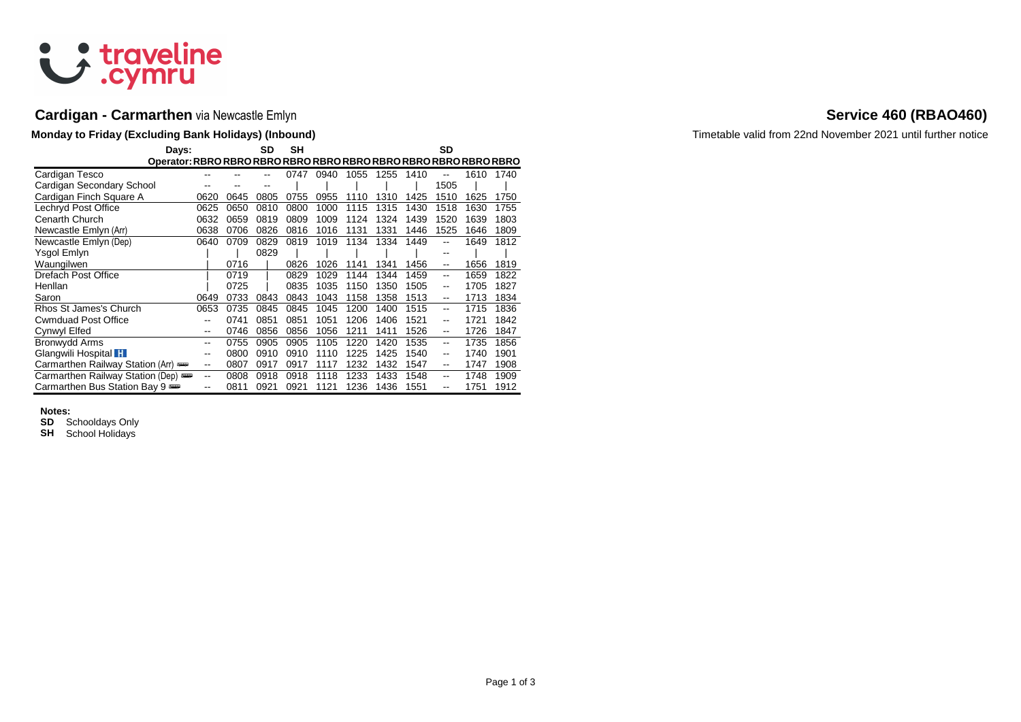

# **Cardigan - Carmarthen** via Newcastle Emlyn **Service 460 (RBAO460) Service 460 (RBAO460)**

| Days:                            |       |      | SD   | SН   |      |      |      |      | SD                       |      |      |
|----------------------------------|-------|------|------|------|------|------|------|------|--------------------------|------|------|
| Cardigan Tesco                   |       |      |      | 0747 | 0940 | 1055 | 1255 | 1410 |                          | 1610 | 1740 |
| Cardigan Secondary School        |       |      |      |      |      |      |      |      | 1505                     |      |      |
| Cardigan Finch Square A          | 0620  | 0645 | 0805 | 0755 | 0955 | 1110 | 1310 | 1425 | 1510                     | 1625 | 1750 |
| Lechryd Post Office              | 0625  | 0650 | 0810 | 0800 | 1000 | 1115 | 1315 | 1430 | 1518                     | 1630 | 1755 |
| Cenarth Church                   | 0632  | 0659 | 0819 | 0809 | 1009 | 1124 | 1324 | 1439 | 1520                     | 1639 | 1803 |
| Newcastle Emlyn (Arr)            | 0638  | 0706 | 0826 | 0816 | 1016 | 1131 | 1331 | 1446 | 1525                     | 1646 | 1809 |
| Newcastle Emlyn (Dep)            | 0640  | 0709 | 0829 | 0819 | 1019 | 1134 | 1334 | 1449 | --                       | 1649 | 1812 |
| Ysgol Emlyn                      |       |      | 0829 |      |      |      |      |      | $- -$                    |      |      |
| Waungilwen                       |       | 0716 |      | 0826 | 1026 | 1141 | 1341 | 1456 | $\overline{\phantom{a}}$ | 1656 | 1819 |
| Drefach Post Office              |       | 0719 |      | 0829 | 1029 | 1144 | 1344 | 1459 | $- -$                    | 1659 | 1822 |
| Henllan                          |       | 0725 |      | 0835 | 1035 | 1150 | 1350 | 1505 | --                       | 1705 | 1827 |
| Saron                            | 0649  | 0733 | 0843 | 0843 | 1043 | 1158 | 1358 | 1513 | $\overline{\phantom{a}}$ | 1713 | 1834 |
| Rhos St James's Church           | 0653  | 0735 | 0845 | 0845 | 1045 | 1200 | 1400 | 1515 | $- -$                    | 1715 | 1836 |
| <b>Cwmduad Post Office</b>       | $- -$ | 0741 | 0851 | 0851 | 1051 | 1206 | 1406 | 1521 | $-$                      | 1721 | 1842 |
| Cynwyl Elfed                     | $- -$ | 0746 | 0856 | 0856 | 1056 | 1211 | 1411 | 1526 | --                       | 1726 | 1847 |
| Bronwydd Arms                    | --    | 0755 | 0905 | 0905 | 1105 | 1220 | 1420 | 1535 | $- -$                    | 1735 | 1856 |
| Glangwili Hospital H             | $- -$ | 0800 | 0910 | 0910 | 1110 | 1225 | 1425 | 1540 | --                       | 1740 | 1901 |
| Carmarthen Railway Station (Arr) | $- -$ | 0807 | 0917 | 0917 | 1117 | 1232 | 1432 | 1547 | --                       | 1747 | 1908 |
| Carmarthen Railway Station (Dep) | $-$   | 0808 | 0918 | 0918 | 1118 | 1233 | 1433 | 1548 | $-$                      | 1748 | 1909 |
| Carmarthen Bus Station Bay 9     | --    | 0811 | 0921 | 0921 | 1121 | 1236 | 1436 | 1551 | --                       | 1751 | 1912 |

### **Notes:**

**SD** Schooldays Only

**SH** School Holidays

**Monday to Friday (Excluding Bank Holidays) (Inbound)** Timetable valid from 22nd November 2021 until further notice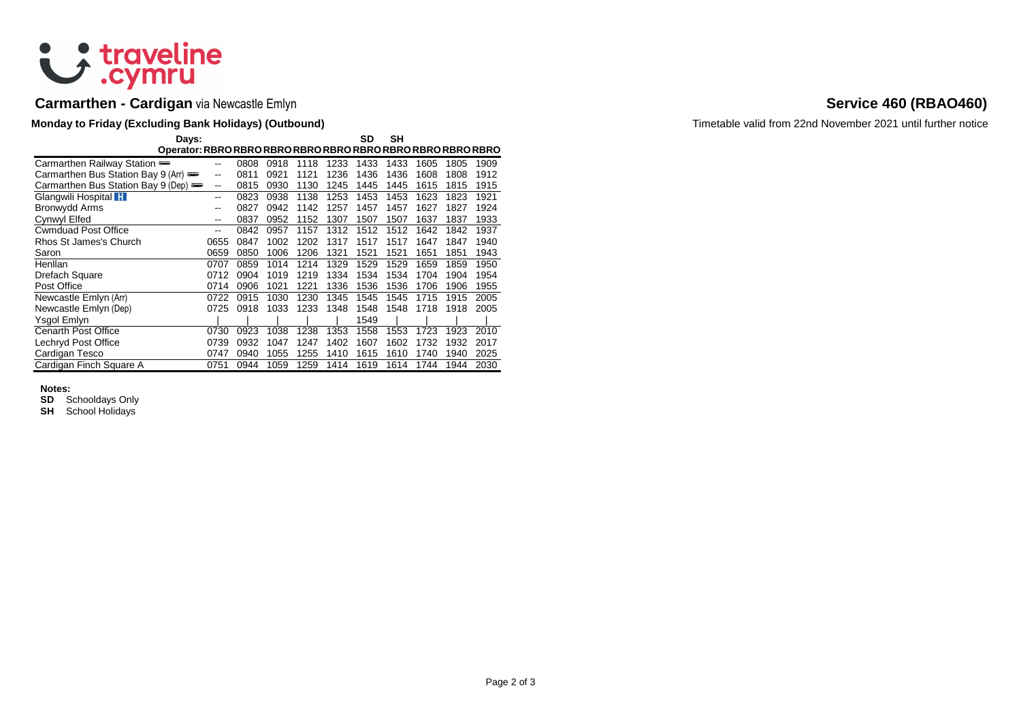

# **Carmarthen - Cardigan** via Newcastle Emlyn **Service 460 (RBAO460) Service 460 (RBAO460)**

## **Monday to Friday (Excluding Bank Holidays) (Outbound) Timetable valid from 22nd November 2021 until further notice**

| Days:                              |      |      |      |      |      | SD   | SН   |      |      |      |
|------------------------------------|------|------|------|------|------|------|------|------|------|------|
|                                    |      |      |      |      |      |      |      |      |      |      |
| Carmarthen Railway Station         | --   | 0808 | 0918 | 1118 | 1233 | 1433 | 1433 | 1605 | 1805 | 1909 |
| Carmarthen Bus Station Bay 9 (Arr) | --   | 0811 | 0921 | 1121 | 1236 | 1436 | 1436 | 1608 | 1808 | 1912 |
| Carmarthen Bus Station Bay 9 (Dep) | --   | 0815 | 0930 | 1130 | 1245 | 1445 | 1445 | 1615 | 1815 | 1915 |
| Glangwili Hospital H               | --   | 0823 | 0938 | 1138 | 1253 | 1453 | 1453 | 1623 | 1823 | 1921 |
| Bronwydd Arms                      | --   | 0827 | 0942 | 1142 | 1257 | 1457 | 1457 | 1627 | 1827 | 1924 |
| Cynwyl Elfed                       |      | 0837 | 0952 | 1152 | 1307 | 1507 | 1507 | 1637 | 1837 | 1933 |
| <b>Cwmduad Post Office</b>         | --   | 0842 | 0957 | 1157 | 1312 | 1512 | 1512 | 1642 | 1842 | 1937 |
| Rhos St James's Church             | 0655 | 0847 | 1002 | 1202 | 1317 | 1517 | 1517 | 1647 | 1847 | 1940 |
| Saron                              | 0659 | 0850 | 1006 | 1206 | 1321 | 1521 | 1521 | 1651 | 1851 | 1943 |
| Henllan                            | 0707 | 0859 | 1014 | 1214 | 1329 | 1529 | 1529 | 1659 | 1859 | 1950 |
| Drefach Square                     | 0712 | 0904 | 1019 | 1219 | 1334 | 1534 | 1534 | 1704 | 1904 | 1954 |
| Post Office                        | 0714 | 0906 | 1021 | 1221 | 1336 | 1536 | 1536 | 1706 | 1906 | 1955 |
| Newcastle Emlyn (Arr)              | 0722 | 0915 | 1030 | 1230 | 1345 | 1545 | 1545 | 1715 | 1915 | 2005 |
| Newcastle Emlyn (Dep)              | 0725 | 0918 | 1033 | 1233 | 1348 | 1548 | 1548 | 1718 | 1918 | 2005 |
| Ysgol Emlyn                        |      |      |      |      |      | 1549 |      |      |      |      |
| <b>Cenarth Post Office</b>         | 0730 | 0923 | 1038 | 1238 | 1353 | 1558 | 1553 | 1723 | 1923 | 2010 |
| Lechryd Post Office                | 0739 | 0932 | 1047 | 1247 | 1402 | 1607 | 1602 | 1732 | 1932 | 2017 |
| Cardigan Tesco                     | 0747 | 0940 | 1055 | 1255 | 1410 | 1615 | 1610 | 1740 | 1940 | 2025 |
| Cardigan Finch Square A            | 0751 | 0944 | 1059 | 1259 | 1414 | 1619 | 1614 | 1744 | 1944 | 2030 |

### **Notes:**

**SD** Schooldays Only

**SH** School Holidays